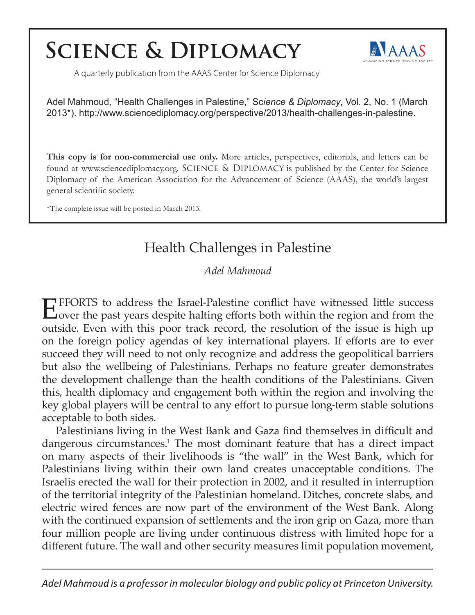## **SCIENCE & DIPLOMACY**



A quarterly publication from the AAAS Center for Science Diplomacy

Adel Mahmoud, "Health Challenges in Palestine," Sc*ience & Diplomacy*, Vol. 2, No. 1 (March 2013\*). http://www.sciencediplomacy.org/perspective/2013/health-challenges-in-palestine.

**This copy is for non-commercial use only.** More articles, perspectives, editorials, and letters can be found at www.sciencediplomacy.org. SCIENCE & DIPLOMACY is published by the Center for Science Diplomacy of the American Association for the Advancement of Science (AAAS), the world's largest general scientific society.

\*The complete issue will be posted in March 2013.

## Health Challenges in Palestine

*Adel Mahmoud*

EFFORTS to address the Israel-Palestine conflict have witnessed little success over the past years despite halting efforts both within the region and from the outside. Even with this poor track record, the resolution of the issue is high up on the foreign policy agendas of key international players. If efforts are to ever succeed they will need to not only recognize and address the geopolitical barriers but also the wellbeing of Palestinians. Perhaps no feature greater demonstrates the development challenge than the health conditions of the Palestinians. Given this, health diplomacy and engagement both within the region and involving the key global players will be central to any effort to pursue long-term stable solutions acceptable to both sides.

Palestinians living in the West Bank and Gaza find themselves in difficult and dangerous circumstances.<sup>1</sup> The most dominant feature that has a direct impact on many aspects of their livelihoods is "the wall" in the West Bank, which for Palestinians living within their own land creates unacceptable conditions. The Israelis erected the wall for their protection in 2002, and it resulted in interruption of the territorial integrity of the Palestinian homeland. Ditches, concrete slabs, and electric wired fences are now part of the environment of the West Bank. Along with the continued expansion of settlements and the iron grip on Gaza, more than four million people are living under continuous distress with limited hope for a different future. The wall and other security measures limit population movement,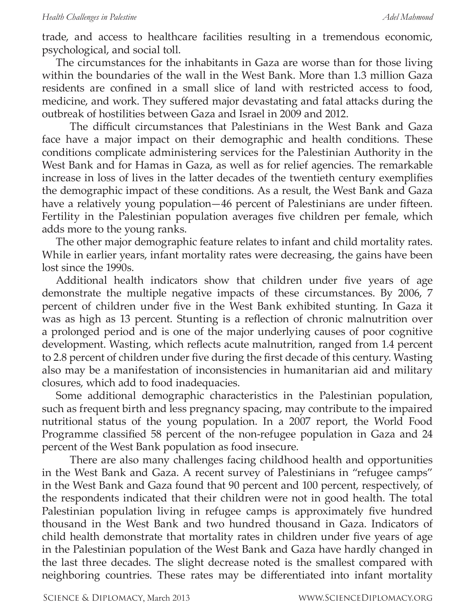trade, and access to healthcare facilities resulting in a tremendous economic, psychological, and social toll.

The circumstances for the inhabitants in Gaza are worse than for those living within the boundaries of the wall in the West Bank. More than 1.3 million Gaza residents are confined in a small slice of land with restricted access to food, medicine, and work. They suffered major devastating and fatal attacks during the outbreak of hostilities between Gaza and Israel in 2009 and 2012.

The difficult circumstances that Palestinians in the West Bank and Gaza face have a major impact on their demographic and health conditions. These conditions complicate administering services for the Palestinian Authority in the West Bank and for Hamas in Gaza, as well as for relief agencies. The remarkable increase in loss of lives in the latter decades of the twentieth century exemplifies the demographic impact of these conditions. As a result, the West Bank and Gaza have a relatively young population—46 percent of Palestinians are under fifteen. Fertility in the Palestinian population averages five children per female, which adds more to the young ranks.

The other major demographic feature relates to infant and child mortality rates. While in earlier years, infant mortality rates were decreasing, the gains have been lost since the 1990s.

Additional health indicators show that children under five years of age demonstrate the multiple negative impacts of these circumstances. By 2006, 7 percent of children under five in the West Bank exhibited stunting. In Gaza it was as high as 13 percent. Stunting is a reflection of chronic malnutrition over a prolonged period and is one of the major underlying causes of poor cognitive development. Wasting, which reflects acute malnutrition, ranged from 1.4 percent to 2.8 percent of children under five during the first decade of this century. Wasting also may be a manifestation of inconsistencies in humanitarian aid and military closures, which add to food inadequacies.

Some additional demographic characteristics in the Palestinian population, such as frequent birth and less pregnancy spacing, may contribute to the impaired nutritional status of the young population. In a 2007 report, the World Food Programme classified 58 percent of the non-refugee population in Gaza and 24 percent of the West Bank population as food insecure.

There are also many challenges facing childhood health and opportunities in the West Bank and Gaza. A recent survey of Palestinians in "refugee camps" in the West Bank and Gaza found that 90 percent and 100 percent, respectively, of the respondents indicated that their children were not in good health. The total Palestinian population living in refugee camps is approximately five hundred thousand in the West Bank and two hundred thousand in Gaza. Indicators of child health demonstrate that mortality rates in children under five years of age in the Palestinian population of the West Bank and Gaza have hardly changed in the last three decades. The slight decrease noted is the smallest compared with neighboring countries. These rates may be differentiated into infant mortality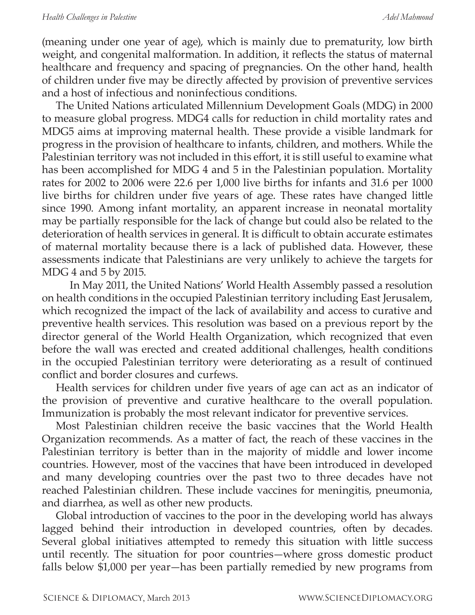(meaning under one year of age), which is mainly due to prematurity, low birth weight, and congenital malformation. In addition, it reflects the status of maternal healthcare and frequency and spacing of pregnancies. On the other hand, health of children under five may be directly affected by provision of preventive services and a host of infectious and noninfectious conditions.

The United Nations articulated Millennium Development Goals (MDG) in 2000 to measure global progress. MDG4 calls for reduction in child mortality rates and MDG5 aims at improving maternal health. These provide a visible landmark for progress in the provision of healthcare to infants, children, and mothers. While the Palestinian territory was not included in this effort, it is still useful to examine what has been accomplished for MDG 4 and 5 in the Palestinian population. Mortality rates for 2002 to 2006 were 22.6 per 1,000 live births for infants and 31.6 per 1000 live births for children under five years of age. These rates have changed little since 1990. Among infant mortality, an apparent increase in neonatal mortality may be partially responsible for the lack of change but could also be related to the deterioration of health services in general. It is difficult to obtain accurate estimates of maternal mortality because there is a lack of published data. However, these assessments indicate that Palestinians are very unlikely to achieve the targets for MDG 4 and 5 by 2015.

In May 2011, the United Nations' World Health Assembly passed a resolution on health conditions in the occupied Palestinian territory including East Jerusalem, which recognized the impact of the lack of availability and access to curative and preventive health services. This resolution was based on a previous report by the director general of the World Health Organization, which recognized that even before the wall was erected and created additional challenges, health conditions in the occupied Palestinian territory were deteriorating as a result of continued conflict and border closures and curfews.

Health services for children under five years of age can act as an indicator of the provision of preventive and curative healthcare to the overall population. Immunization is probably the most relevant indicator for preventive services.

Most Palestinian children receive the basic vaccines that the World Health Organization recommends. As a matter of fact, the reach of these vaccines in the Palestinian territory is better than in the majority of middle and lower income countries. However, most of the vaccines that have been introduced in developed and many developing countries over the past two to three decades have not reached Palestinian children. These include vaccines for meningitis, pneumonia, and diarrhea, as well as other new products.

Global introduction of vaccines to the poor in the developing world has always lagged behind their introduction in developed countries, often by decades. Several global initiatives attempted to remedy this situation with little success until recently. The situation for poor countries—where gross domestic product falls below \$1,000 per year—has been partially remedied by new programs from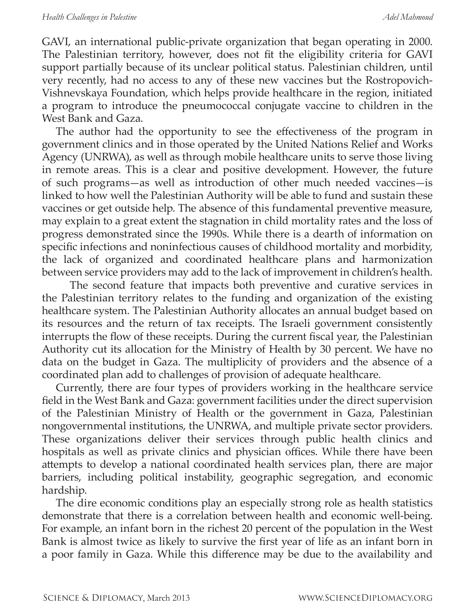GAVI, an international public-private organization that began operating in 2000. The Palestinian territory, however, does not fit the eligibility criteria for GAVI support partially because of its unclear political status. Palestinian children, until very recently, had no access to any of these new vaccines but the Rostropovich-Vishnevskaya Foundation, which helps provide healthcare in the region, initiated a program to introduce the pneumococcal conjugate vaccine to children in the West Bank and Gaza.

The author had the opportunity to see the effectiveness of the program in government clinics and in those operated by the United Nations Relief and Works Agency (UNRWA), as well as through mobile healthcare units to serve those living in remote areas. This is a clear and positive development. However, the future of such programs—as well as introduction of other much needed vaccines—is linked to how well the Palestinian Authority will be able to fund and sustain these vaccines or get outside help. The absence of this fundamental preventive measure, may explain to a great extent the stagnation in child mortality rates and the loss of progress demonstrated since the 1990s. While there is a dearth of information on specific infections and noninfectious causes of childhood mortality and morbidity, the lack of organized and coordinated healthcare plans and harmonization between service providers may add to the lack of improvement in children's health.

The second feature that impacts both preventive and curative services in the Palestinian territory relates to the funding and organization of the existing healthcare system. The Palestinian Authority allocates an annual budget based on its resources and the return of tax receipts. The Israeli government consistently interrupts the flow of these receipts. During the current fiscal year, the Palestinian Authority cut its allocation for the Ministry of Health by 30 percent. We have no data on the budget in Gaza. The multiplicity of providers and the absence of a coordinated plan add to challenges of provision of adequate healthcare.

Currently, there are four types of providers working in the healthcare service field in the West Bank and Gaza: government facilities under the direct supervision of the Palestinian Ministry of Health or the government in Gaza, Palestinian nongovernmental institutions, the UNRWA, and multiple private sector providers. These organizations deliver their services through public health clinics and hospitals as well as private clinics and physician offices. While there have been attempts to develop a national coordinated health services plan, there are major barriers, including political instability, geographic segregation, and economic hardship.

The dire economic conditions play an especially strong role as health statistics demonstrate that there is a correlation between health and economic well-being. For example, an infant born in the richest 20 percent of the population in the West Bank is almost twice as likely to survive the first year of life as an infant born in a poor family in Gaza. While this difference may be due to the availability and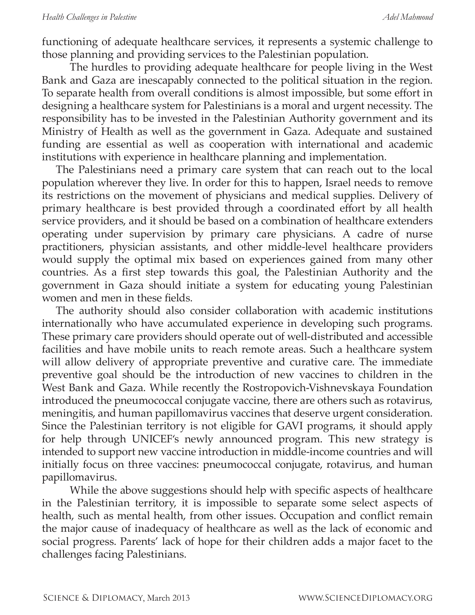functioning of adequate healthcare services, it represents a systemic challenge to those planning and providing services to the Palestinian population.

The hurdles to providing adequate healthcare for people living in the West Bank and Gaza are inescapably connected to the political situation in the region. To separate health from overall conditions is almost impossible, but some effort in designing a healthcare system for Palestinians is a moral and urgent necessity. The responsibility has to be invested in the Palestinian Authority government and its Ministry of Health as well as the government in Gaza. Adequate and sustained funding are essential as well as cooperation with international and academic institutions with experience in healthcare planning and implementation.

The Palestinians need a primary care system that can reach out to the local population wherever they live. In order for this to happen, Israel needs to remove its restrictions on the movement of physicians and medical supplies. Delivery of primary healthcare is best provided through a coordinated effort by all health service providers, and it should be based on a combination of healthcare extenders operating under supervision by primary care physicians. A cadre of nurse practitioners, physician assistants, and other middle-level healthcare providers would supply the optimal mix based on experiences gained from many other countries. As a first step towards this goal, the Palestinian Authority and the government in Gaza should initiate a system for educating young Palestinian women and men in these fields.

The authority should also consider collaboration with academic institutions internationally who have accumulated experience in developing such programs. These primary care providers should operate out of well-distributed and accessible facilities and have mobile units to reach remote areas. Such a healthcare system will allow delivery of appropriate preventive and curative care. The immediate preventive goal should be the introduction of new vaccines to children in the West Bank and Gaza. While recently the Rostropovich-Vishnevskaya Foundation introduced the pneumococcal conjugate vaccine, there are others such as rotavirus, meningitis, and human papillomavirus vaccines that deserve urgent consideration. Since the Palestinian territory is not eligible for GAVI programs, it should apply for help through UNICEF's newly announced program. This new strategy is intended to support new vaccine introduction in middle-income countries and will initially focus on three vaccines: pneumococcal conjugate, rotavirus, and human papillomavirus.

While the above suggestions should help with specific aspects of healthcare in the Palestinian territory, it is impossible to separate some select aspects of health, such as mental health, from other issues. Occupation and conflict remain the major cause of inadequacy of healthcare as well as the lack of economic and social progress. Parents' lack of hope for their children adds a major facet to the challenges facing Palestinians.